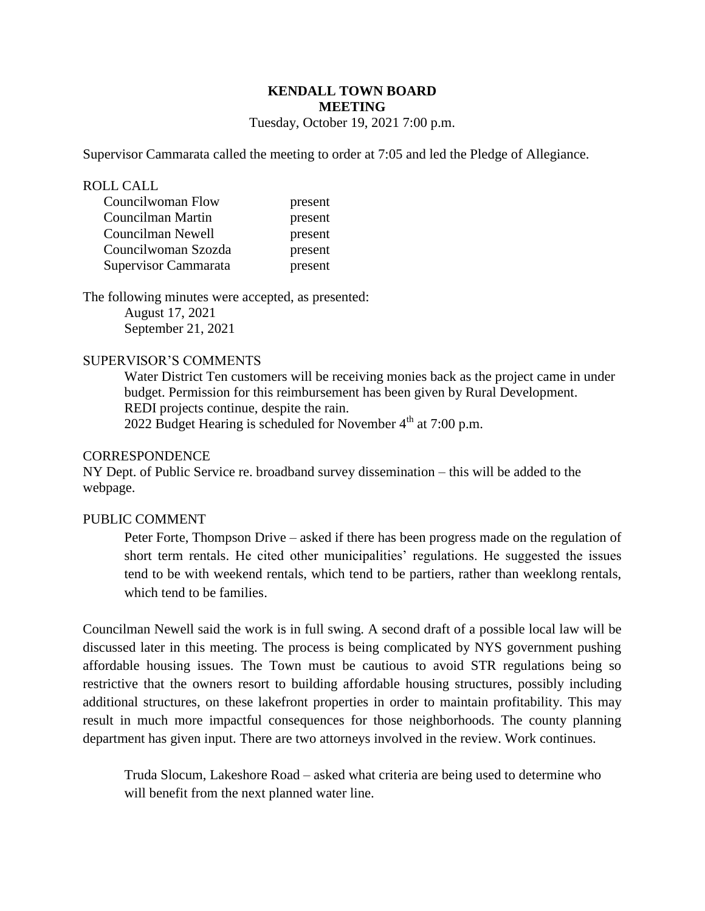# **KENDALL TOWN BOARD MEETING**

Tuesday, October 19, 2021 7:00 p.m.

Supervisor Cammarata called the meeting to order at 7:05 and led the Pledge of Allegiance.

#### ROLL CALL

| Councilwoman Flow    | present |
|----------------------|---------|
| Councilman Martin    | present |
| Councilman Newell    | present |
| Councilwoman Szozda  | present |
| Supervisor Cammarata | present |

The following minutes were accepted, as presented: August 17, 2021 September 21, 2021

## SUPERVISOR'S COMMENTS

Water District Ten customers will be receiving monies back as the project came in under budget. Permission for this reimbursement has been given by Rural Development. REDI projects continue, despite the rain.

2022 Budget Hearing is scheduled for November  $4<sup>th</sup>$  at 7:00 p.m.

### **CORRESPONDENCE**

NY Dept. of Public Service re. broadband survey dissemination – this will be added to the webpage.

## PUBLIC COMMENT

Peter Forte, Thompson Drive – asked if there has been progress made on the regulation of short term rentals. He cited other municipalities' regulations. He suggested the issues tend to be with weekend rentals, which tend to be partiers, rather than weeklong rentals, which tend to be families.

Councilman Newell said the work is in full swing. A second draft of a possible local law will be discussed later in this meeting. The process is being complicated by NYS government pushing affordable housing issues. The Town must be cautious to avoid STR regulations being so restrictive that the owners resort to building affordable housing structures, possibly including additional structures, on these lakefront properties in order to maintain profitability. This may result in much more impactful consequences for those neighborhoods. The county planning department has given input. There are two attorneys involved in the review. Work continues.

Truda Slocum, Lakeshore Road – asked what criteria are being used to determine who will benefit from the next planned water line.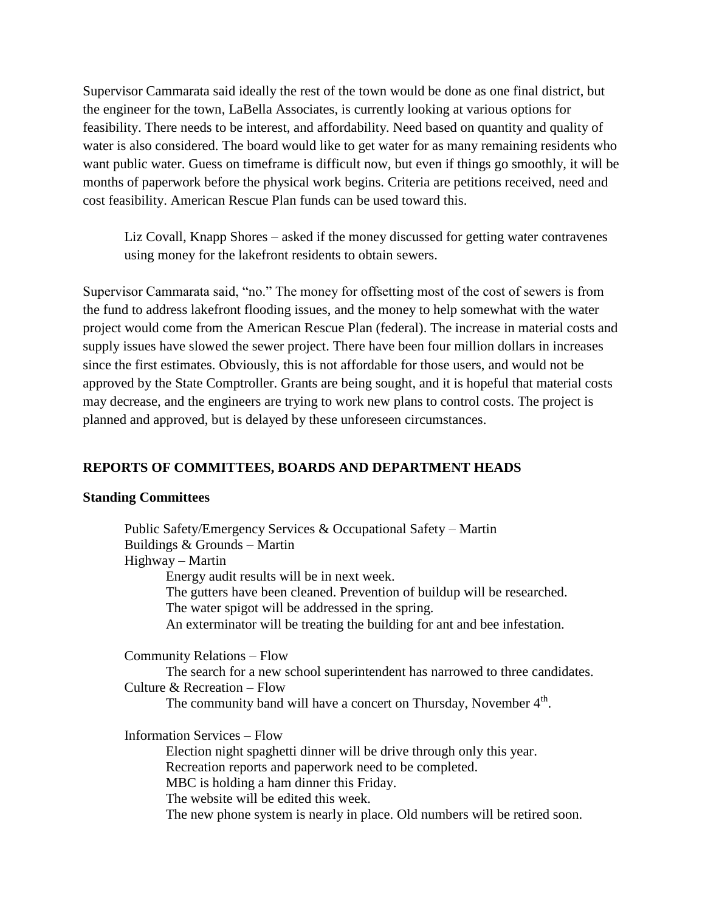Supervisor Cammarata said ideally the rest of the town would be done as one final district, but the engineer for the town, LaBella Associates, is currently looking at various options for feasibility. There needs to be interest, and affordability. Need based on quantity and quality of water is also considered. The board would like to get water for as many remaining residents who want public water. Guess on timeframe is difficult now, but even if things go smoothly, it will be months of paperwork before the physical work begins. Criteria are petitions received, need and cost feasibility. American Rescue Plan funds can be used toward this.

Liz Covall, Knapp Shores – asked if the money discussed for getting water contravenes using money for the lakefront residents to obtain sewers.

Supervisor Cammarata said, "no." The money for offsetting most of the cost of sewers is from the fund to address lakefront flooding issues, and the money to help somewhat with the water project would come from the American Rescue Plan (federal). The increase in material costs and supply issues have slowed the sewer project. There have been four million dollars in increases since the first estimates. Obviously, this is not affordable for those users, and would not be approved by the State Comptroller. Grants are being sought, and it is hopeful that material costs may decrease, and the engineers are trying to work new plans to control costs. The project is planned and approved, but is delayed by these unforeseen circumstances.

# **REPORTS OF COMMITTEES, BOARDS AND DEPARTMENT HEADS**

#### **Standing Committees**

 Public Safety/Emergency Services & Occupational Safety – Martin Buildings & Grounds – Martin Highway – Martin Energy audit results will be in next week. The gutters have been cleaned. Prevention of buildup will be researched. The water spigot will be addressed in the spring. An exterminator will be treating the building for ant and bee infestation. Community Relations – Flow The search for a new school superintendent has narrowed to three candidates. Culture & Recreation – Flow The community band will have a concert on Thursday, November  $4<sup>th</sup>$ . Information Services – Flow Election night spaghetti dinner will be drive through only this year. Recreation reports and paperwork need to be completed. MBC is holding a ham dinner this Friday. The website will be edited this week.

The new phone system is nearly in place. Old numbers will be retired soon.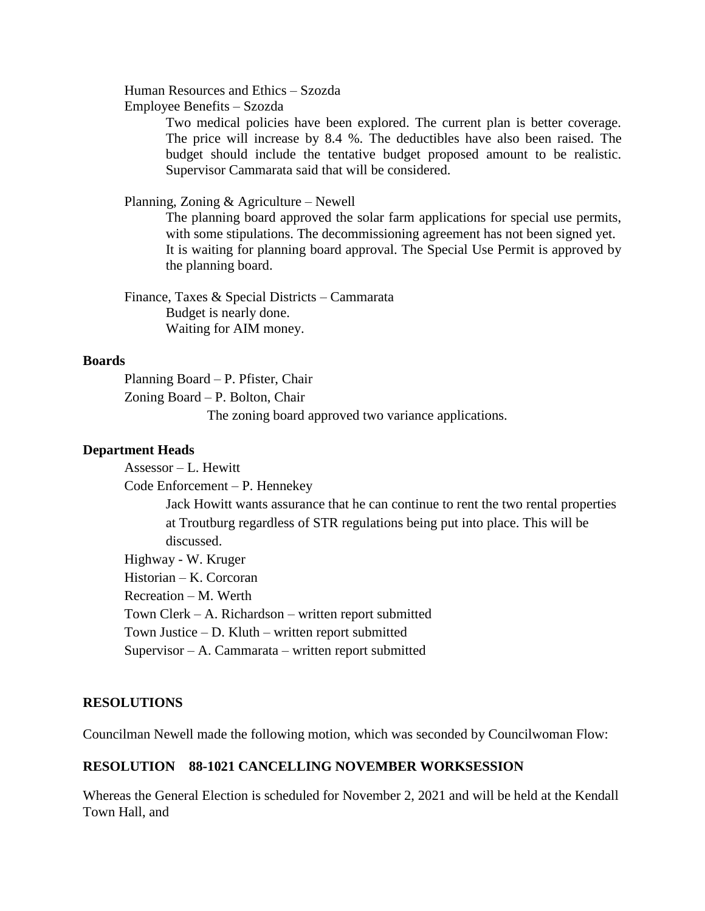Human Resources and Ethics – Szozda

Employee Benefits – Szozda

Two medical policies have been explored. The current plan is better coverage. The price will increase by 8.4 %. The deductibles have also been raised. The budget should include the tentative budget proposed amount to be realistic. Supervisor Cammarata said that will be considered.

#### Planning, Zoning & Agriculture – Newell

The planning board approved the solar farm applications for special use permits, with some stipulations. The decommissioning agreement has not been signed yet. It is waiting for planning board approval. The Special Use Permit is approved by the planning board.

Finance, Taxes & Special Districts – Cammarata Budget is nearly done. Waiting for AIM money.

#### **Boards**

Planning Board – P. Pfister, Chair Zoning Board – P. Bolton, Chair

The zoning board approved two variance applications.

#### **Department Heads**

Assessor – L. Hewitt Code Enforcement – P. Hennekey Jack Howitt wants assurance that he can continue to rent the two rental properties at Troutburg regardless of STR regulations being put into place. This will be discussed. Highway - W. Kruger Historian – K. Corcoran Recreation – M. Werth Town Clerk – A. Richardson – written report submitted Town Justice – D. Kluth – written report submitted

Supervisor – A. Cammarata – written report submitted

#### **RESOLUTIONS**

Councilman Newell made the following motion, which was seconded by Councilwoman Flow:

# **RESOLUTION 88-1021 CANCELLING NOVEMBER WORKSESSION**

Whereas the General Election is scheduled for November 2, 2021 and will be held at the Kendall Town Hall, and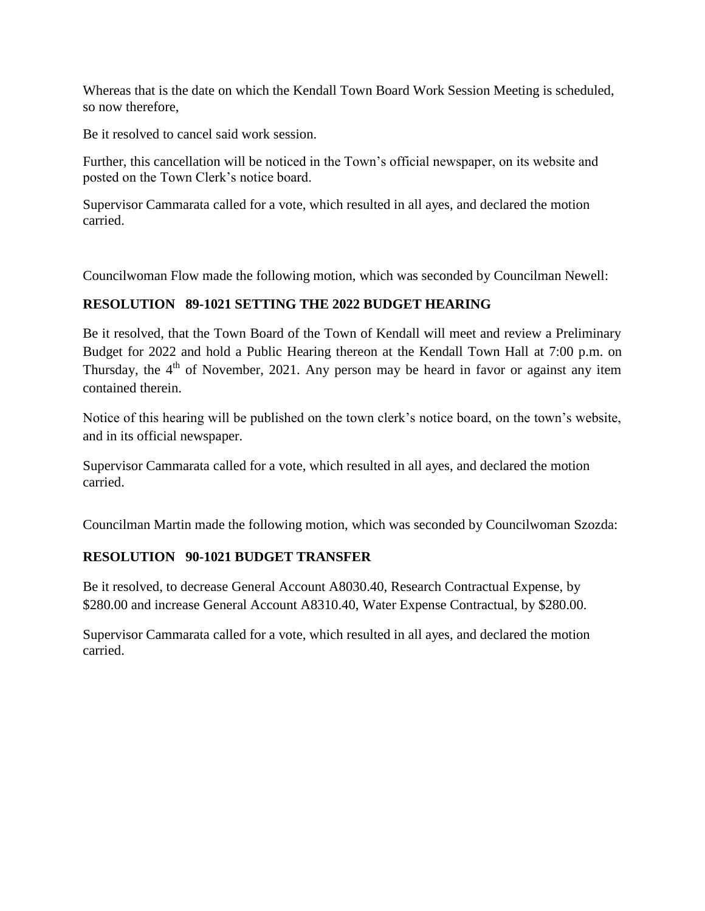Whereas that is the date on which the Kendall Town Board Work Session Meeting is scheduled, so now therefore,

Be it resolved to cancel said work session.

Further, this cancellation will be noticed in the Town's official newspaper, on its website and posted on the Town Clerk's notice board.

Supervisor Cammarata called for a vote, which resulted in all ayes, and declared the motion carried.

Councilwoman Flow made the following motion, which was seconded by Councilman Newell:

# **RESOLUTION 89-1021 SETTING THE 2022 BUDGET HEARING**

Be it resolved, that the Town Board of the Town of Kendall will meet and review a Preliminary Budget for 2022 and hold a Public Hearing thereon at the Kendall Town Hall at 7:00 p.m. on Thursday, the  $4<sup>th</sup>$  of November, 2021. Any person may be heard in favor or against any item contained therein.

Notice of this hearing will be published on the town clerk's notice board, on the town's website, and in its official newspaper.

Supervisor Cammarata called for a vote, which resulted in all ayes, and declared the motion carried.

Councilman Martin made the following motion, which was seconded by Councilwoman Szozda:

# **RESOLUTION 90-1021 BUDGET TRANSFER**

Be it resolved, to decrease General Account A8030.40, Research Contractual Expense, by \$280.00 and increase General Account A8310.40, Water Expense Contractual, by \$280.00.

Supervisor Cammarata called for a vote, which resulted in all ayes, and declared the motion carried.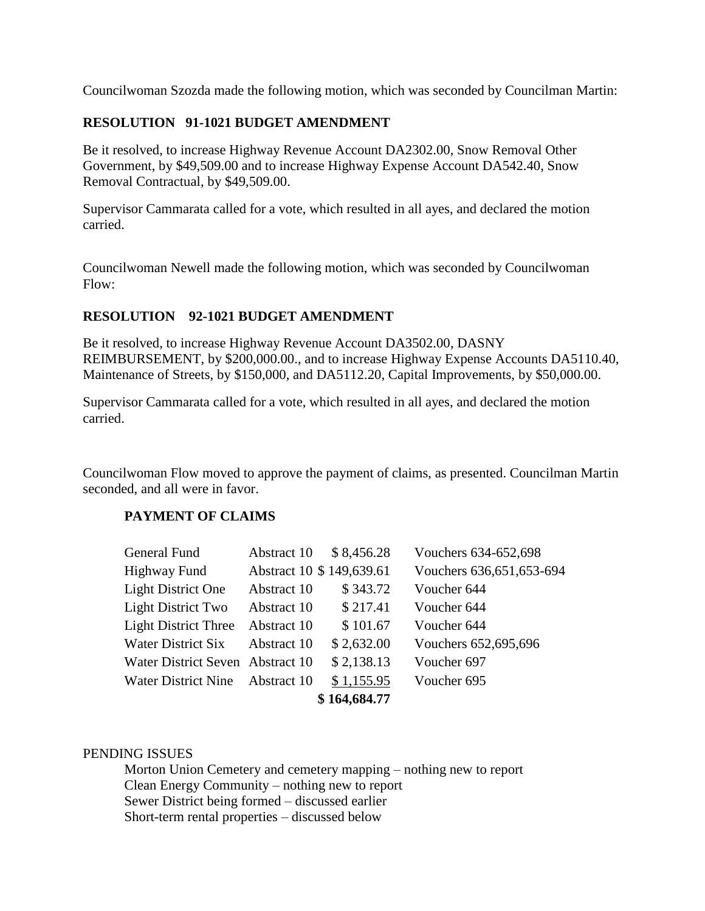Councilwoman Szozda made the following motion, which was seconded by Councilman Martin:

# **RESOLUTION 91-1021 BUDGET AMENDMENT**

Be it resolved, to increase Highway Revenue Account DA2302.00, Snow Removal Other Government, by \$49,509.00 and to increase Highway Expense Account DA542.40, Snow Removal Contractual, by \$49,509.00.

Supervisor Cammarata called for a vote, which resulted in all ayes, and declared the motion carried.

Councilwoman Newell made the following motion, which was seconded by Councilwoman Flow:

## **RESOLUTION 92-1021 BUDGET AMENDMENT**

Be it resolved, to increase Highway Revenue Account DA3502.00, DASNY REIMBURSEMENT, by \$200,000.00., and to increase Highway Expense Accounts DA5110.40, Maintenance of Streets, by \$150,000, and DA5112.20, Capital Improvements, by \$50,000.00.

Supervisor Cammarata called for a vote, which resulted in all ayes, and declared the motion carried.

Councilwoman Flow moved to approve the payment of claims, as presented. Councilman Martin seconded, and all were in favor.

## **PAYMENT OF CLAIMS**

| General Fund                     | Abstract 10 | \$8,456.28                | Vouchers 634-652,698       |  |
|----------------------------------|-------------|---------------------------|----------------------------|--|
| <b>Highway Fund</b>              |             | Abstract 10 \$ 149,639.61 | Vouchers 636, 651, 653-694 |  |
| <b>Light District One</b>        | Abstract 10 | \$343.72                  | Voucher 644                |  |
| <b>Light District Two</b>        | Abstract 10 | \$217.41                  | Voucher 644                |  |
| <b>Light District Three</b>      | Abstract 10 | \$101.67                  | Voucher 644                |  |
| Water District Six               | Abstract 10 | \$2,632.00                | Vouchers 652,695,696       |  |
| Water District Seven Abstract 10 |             | \$2,138.13                | Voucher 697                |  |
| <b>Water District Nine</b>       | Abstract 10 | \$1,155.95                | Voucher 695                |  |
| \$164,684.77                     |             |                           |                            |  |

## PENDING ISSUES

Morton Union Cemetery and cemetery mapping – nothing new to report Clean Energy Community – nothing new to report Sewer District being formed – discussed earlier Short-term rental properties – discussed below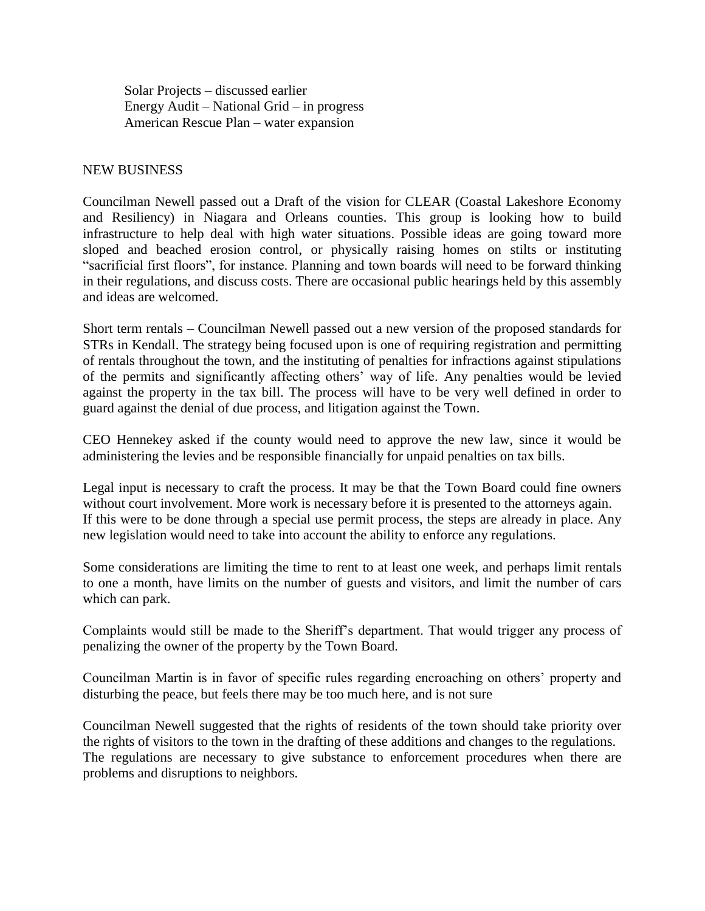Solar Projects – discussed earlier Energy Audit – National Grid – in progress American Rescue Plan – water expansion

### NEW BUSINESS

Councilman Newell passed out a Draft of the vision for CLEAR (Coastal Lakeshore Economy and Resiliency) in Niagara and Orleans counties. This group is looking how to build infrastructure to help deal with high water situations. Possible ideas are going toward more sloped and beached erosion control, or physically raising homes on stilts or instituting "sacrificial first floors", for instance. Planning and town boards will need to be forward thinking in their regulations, and discuss costs. There are occasional public hearings held by this assembly and ideas are welcomed.

Short term rentals – Councilman Newell passed out a new version of the proposed standards for STRs in Kendall. The strategy being focused upon is one of requiring registration and permitting of rentals throughout the town, and the instituting of penalties for infractions against stipulations of the permits and significantly affecting others' way of life. Any penalties would be levied against the property in the tax bill. The process will have to be very well defined in order to guard against the denial of due process, and litigation against the Town.

CEO Hennekey asked if the county would need to approve the new law, since it would be administering the levies and be responsible financially for unpaid penalties on tax bills.

Legal input is necessary to craft the process. It may be that the Town Board could fine owners without court involvement. More work is necessary before it is presented to the attorneys again. If this were to be done through a special use permit process, the steps are already in place. Any new legislation would need to take into account the ability to enforce any regulations.

Some considerations are limiting the time to rent to at least one week, and perhaps limit rentals to one a month, have limits on the number of guests and visitors, and limit the number of cars which can park.

Complaints would still be made to the Sheriff's department. That would trigger any process of penalizing the owner of the property by the Town Board.

Councilman Martin is in favor of specific rules regarding encroaching on others' property and disturbing the peace, but feels there may be too much here, and is not sure

Councilman Newell suggested that the rights of residents of the town should take priority over the rights of visitors to the town in the drafting of these additions and changes to the regulations. The regulations are necessary to give substance to enforcement procedures when there are problems and disruptions to neighbors.